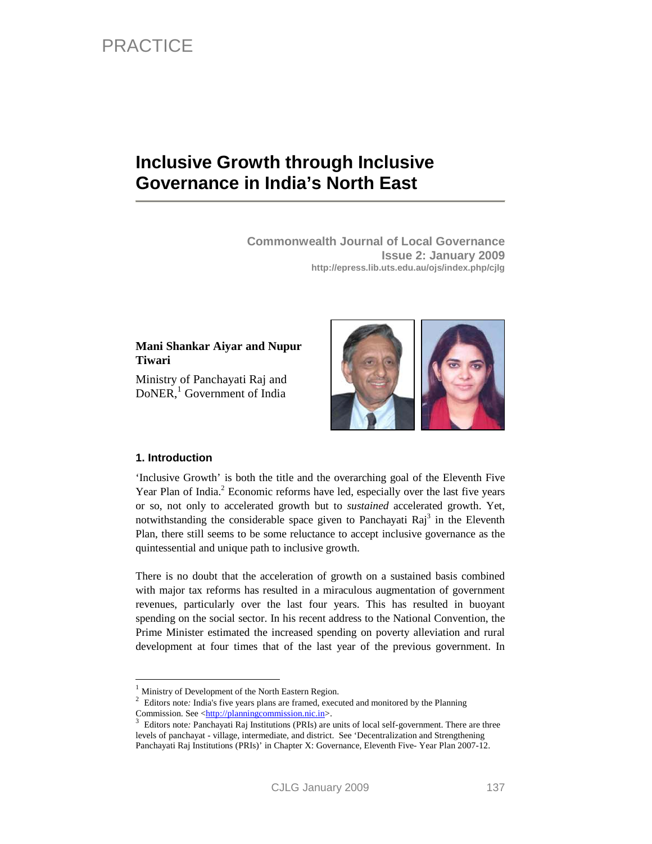# PRACTICE

# **Inclusive Growth through Inclusive Governance in India's North East**

**Commonwealth Journal of Local Governance Issue 2: January 2009 http://epress.lib.uts.edu.au/ojs/index.php/cjlg**

### **Mani Shankar Aiyar and Nupur Tiwari**

Ministry of Panchayati Raj and DoNER,<sup>1</sup> Government of India



#### **1. Introduction**

-

'Inclusive Growth' is both the title and the overarching goal of the Eleventh Five Year Plan of India.<sup>2</sup> Economic reforms have led, especially over the last five years or so, not only to accelerated growth but to *sustained* accelerated growth. Yet, notwithstanding the considerable space given to Panchayati  $\text{Raj}^3$  in the Eleventh Plan, there still seems to be some reluctance to accept inclusive governance as the quintessential and unique path to inclusive growth.

There is no doubt that the acceleration of growth on a sustained basis combined with major tax reforms has resulted in a miraculous augmentation of government revenues, particularly over the last four years. This has resulted in buoyant spending on the social sector. In his recent address to the National Convention, the Prime Minister estimated the increased spending on poverty alleviation and rural development at four times that of the last year of the previous government. In

Ministry of Development of the North Eastern Region.

<sup>&</sup>lt;sup>2</sup> Editors note: India's five years plans are framed, executed and monitored by the Planning

Commission. See  $\langle \frac{http://planningcommission.nic.in}{http://planningcommission.nic.in} \rangle$ .

<sup>&</sup>lt;sup>3</sup> Editors note: Panchayati Raj Institutions (PRIs) are units of local self-government. There are three levels of panchayat - village, intermediate, and district. See 'Decentralization and Strengthening Panchayati Raj Institutions (PRIs)' in Chapter X: Governance, Eleventh Five- Year Plan 2007-12.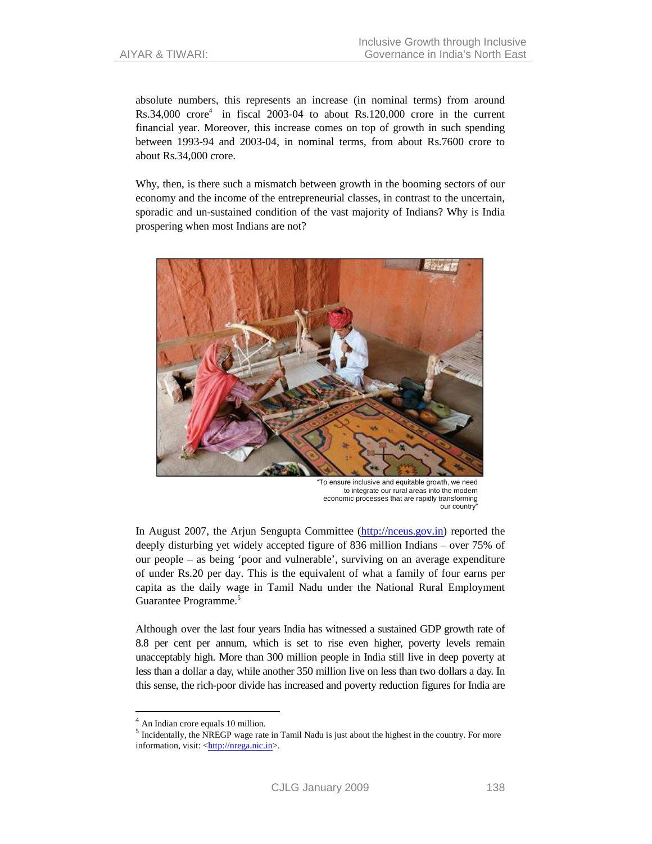absolute numbers, this represents an increase (in nominal terms) from around  $Rs.34,000$  crore<sup>4</sup> in fiscal 2003-04 to about  $Rs.120,000$  crore in the current financial year. Moreover, this increase comes on top of growth in such spending between 1993-94 and 2003-04, in nominal terms, from about Rs.7600 crore to about Rs.34,000 crore.

Why, then, is there such a mismatch between growth in the booming sectors of our economy and the income of the entrepreneurial classes, in contrast to the uncertain, sporadic and un-sustained condition of the vast majority of Indians? Why is India prospering when most Indians are not?



"To ensure inclusive and equitable growth, we need to integrate our rural areas into the modern economic processes that are rapidly transforming our country

In August 2007, the Arjun Sengupta Committee (http://nceus.gov.in) reported the deeply disturbing yet widely accepted figure of 836 million Indians – over 75% of our people – as being 'poor and vulnerable', surviving on an average expenditure of under Rs.20 per day. This is the equivalent of what a family of four earns per capita as the daily wage in Tamil Nadu under the National Rural Employment Guarantee Programme.<sup>5</sup>

Although over the last four years India has witnessed a sustained GDP growth rate of 8.8 per cent per annum, which is set to rise even higher, poverty levels remain unacceptably high. More than 300 million people in India still live in deep poverty at less than a dollar a day, while another 350 million live on less than two dollars a day. In this sense, the rich-poor divide has increased and poverty reduction figures for India are

-

<sup>4</sup> An Indian crore equals 10 million.

<sup>&</sup>lt;sup>5</sup> Incidentally, the NREGP wage rate in Tamil Nadu is just about the highest in the country. For more information, visit: <http://nrega.nic.in>.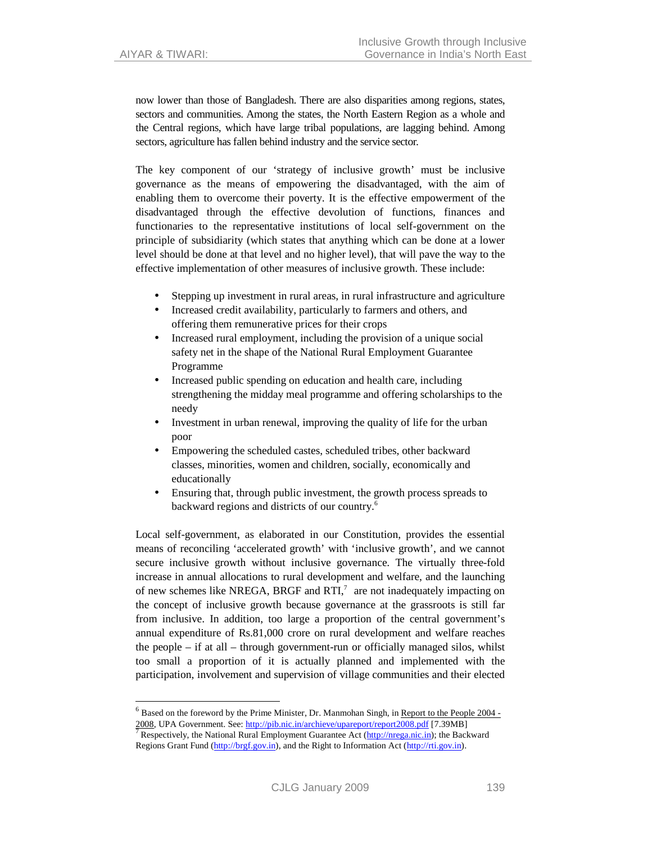-

now lower than those of Bangladesh. There are also disparities among regions, states, sectors and communities. Among the states, the North Eastern Region as a whole and the Central regions, which have large tribal populations, are lagging behind. Among sectors, agriculture has fallen behind industry and the service sector.

The key component of our 'strategy of inclusive growth' must be inclusive governance as the means of empowering the disadvantaged, with the aim of enabling them to overcome their poverty. It is the effective empowerment of the disadvantaged through the effective devolution of functions, finances and functionaries to the representative institutions of local self-government on the principle of subsidiarity (which states that anything which can be done at a lower level should be done at that level and no higher level), that will pave the way to the effective implementation of other measures of inclusive growth. These include:

- Stepping up investment in rural areas, in rural infrastructure and agriculture
- Increased credit availability, particularly to farmers and others, and offering them remunerative prices for their crops
- Increased rural employment, including the provision of a unique social safety net in the shape of the National Rural Employment Guarantee Programme
- Increased public spending on education and health care, including strengthening the midday meal programme and offering scholarships to the needy
- Investment in urban renewal, improving the quality of life for the urban poor
- Empowering the scheduled castes, scheduled tribes, other backward classes, minorities, women and children, socially, economically and educationally
- Ensuring that, through public investment, the growth process spreads to backward regions and districts of our country.<sup>6</sup>

Local self-government, as elaborated in our Constitution, provides the essential means of reconciling 'accelerated growth' with 'inclusive growth', and we cannot secure inclusive growth without inclusive governance. The virtually three-fold increase in annual allocations to rural development and welfare, and the launching of new schemes like NREGA, BRGF and RTI, $^7$  are not inadequately impacting on the concept of inclusive growth because governance at the grassroots is still far from inclusive. In addition, too large a proportion of the central government's annual expenditure of Rs.81,000 crore on rural development and welfare reaches the people – if at all – through government-run or officially managed silos, whilst too small a proportion of it is actually planned and implemented with the participation, involvement and supervision of village communities and their elected

<sup>&</sup>lt;sup>6</sup> Based on the foreword by the Prime Minister, Dr. Manmohan Singh, in Report to the People 2004 -2008, UPA Government. See: http://pib.nic.in/archieve/upareport/report2008.pdf [7.39MB]

<sup>7</sup>Respectively, the National Rural Employment Guarantee Act (http://nrega.nic.in); the Backward Regions Grant Fund (http://brgf.gov.in), and the Right to Information Act (http://rti.gov.in).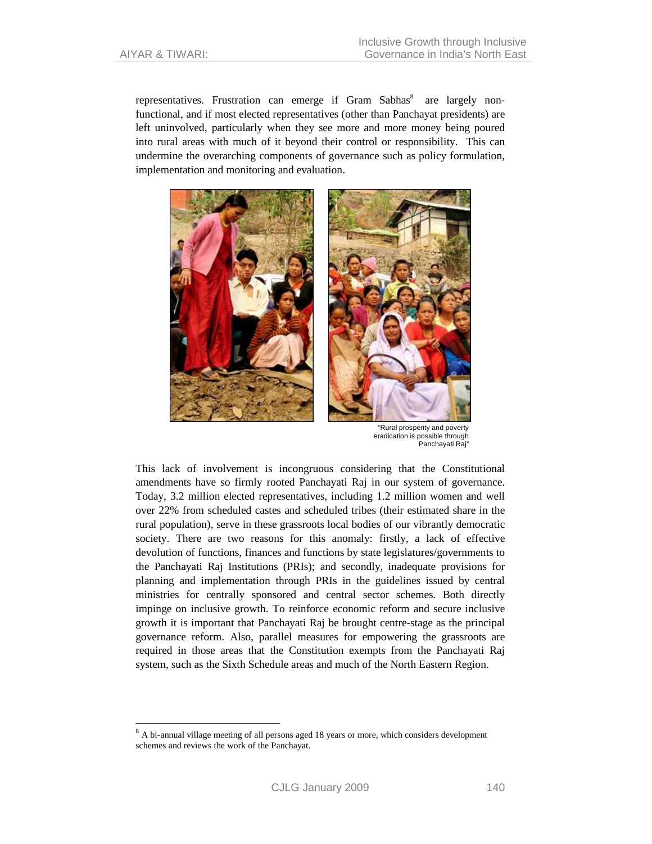-

representatives. Frustration can emerge if Gram Sabhas<sup>8</sup> are largely nonfunctional, and if most elected representatives (other than Panchayat presidents) are left uninvolved, particularly when they see more and more money being poured into rural areas with much of it beyond their control or responsibility. This can undermine the overarching components of governance such as policy formulation, implementation and monitoring and evaluation.



eradication is possible through Panchayati Raj'

This lack of involvement is incongruous considering that the Constitutional amendments have so firmly rooted Panchayati Raj in our system of governance. Today, 3.2 million elected representatives, including 1.2 million women and well over 22% from scheduled castes and scheduled tribes (their estimated share in the rural population), serve in these grassroots local bodies of our vibrantly democratic society. There are two reasons for this anomaly: firstly, a lack of effective devolution of functions, finances and functions by state legislatures/governments to the Panchayati Raj Institutions (PRIs); and secondly, inadequate provisions for planning and implementation through PRIs in the guidelines issued by central ministries for centrally sponsored and central sector schemes. Both directly impinge on inclusive growth. To reinforce economic reform and secure inclusive growth it is important that Panchayati Raj be brought centre-stage as the principal governance reform. Also, parallel measures for empowering the grassroots are required in those areas that the Constitution exempts from the Panchayati Raj system, such as the Sixth Schedule areas and much of the North Eastern Region.

<sup>&</sup>lt;sup>8</sup> A bi-annual village meeting of all persons aged 18 years or more, which considers development schemes and reviews the work of the Panchayat.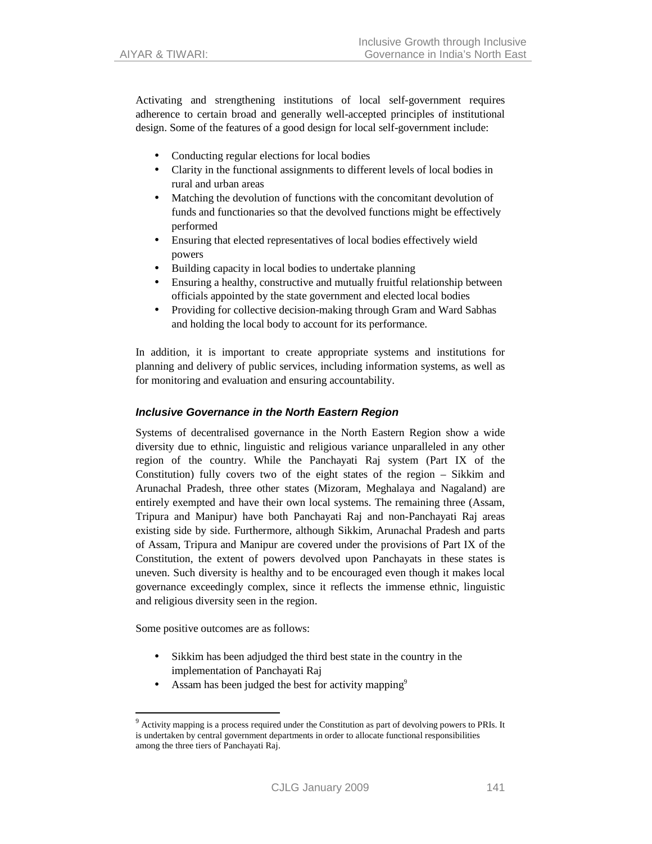Activating and strengthening institutions of local self-government requires adherence to certain broad and generally well-accepted principles of institutional design. Some of the features of a good design for local self-government include:

- Conducting regular elections for local bodies
- Clarity in the functional assignments to different levels of local bodies in rural and urban areas
- Matching the devolution of functions with the concomitant devolution of funds and functionaries so that the devolved functions might be effectively performed
- Ensuring that elected representatives of local bodies effectively wield powers
- Building capacity in local bodies to undertake planning
- Ensuring a healthy, constructive and mutually fruitful relationship between officials appointed by the state government and elected local bodies
- Providing for collective decision-making through Gram and Ward Sabhas and holding the local body to account for its performance.

In addition, it is important to create appropriate systems and institutions for planning and delivery of public services, including information systems, as well as for monitoring and evaluation and ensuring accountability.

#### **Inclusive Governance in the North Eastern Region**

Systems of decentralised governance in the North Eastern Region show a wide diversity due to ethnic, linguistic and religious variance unparalleled in any other region of the country. While the Panchayati Raj system (Part IX of the Constitution) fully covers two of the eight states of the region – Sikkim and Arunachal Pradesh, three other states (Mizoram, Meghalaya and Nagaland) are entirely exempted and have their own local systems. The remaining three (Assam, Tripura and Manipur) have both Panchayati Raj and non-Panchayati Raj areas existing side by side. Furthermore, although Sikkim, Arunachal Pradesh and parts of Assam, Tripura and Manipur are covered under the provisions of Part IX of the Constitution, the extent of powers devolved upon Panchayats in these states is uneven. Such diversity is healthy and to be encouraged even though it makes local governance exceedingly complex, since it reflects the immense ethnic, linguistic and religious diversity seen in the region.

Some positive outcomes are as follows:

-

- Sikkim has been adjudged the third best state in the country in the implementation of Panchayati Raj
- Assam has been judged the best for activity mapping<sup>9</sup>

<sup>&</sup>lt;sup>9</sup> Activity mapping is a process required under the Constitution as part of devolving powers to PRIs. It is undertaken by central government departments in order to allocate functional responsibilities among the three tiers of Panchayati Raj.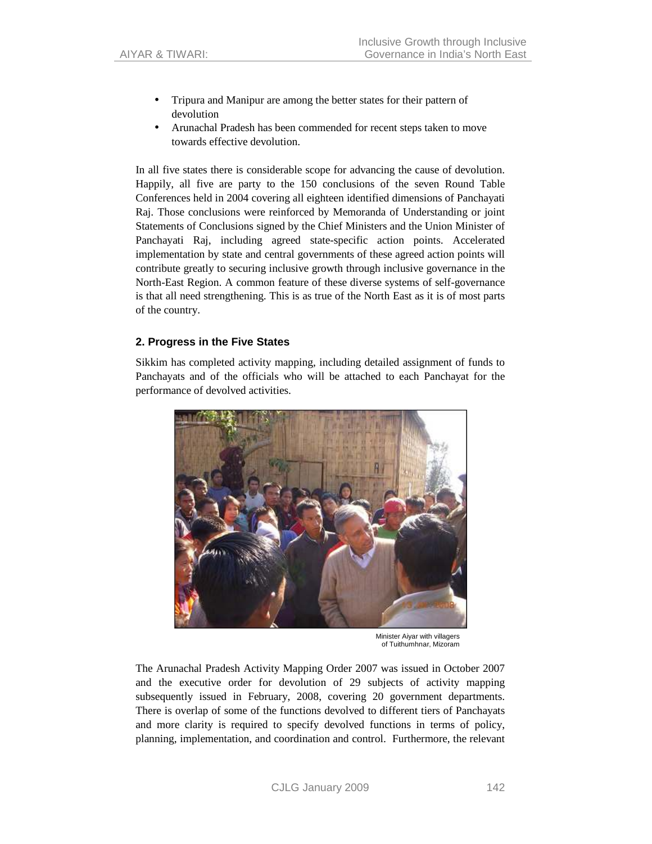- Tripura and Manipur are among the better states for their pattern of devolution
- Arunachal Pradesh has been commended for recent steps taken to move towards effective devolution.

In all five states there is considerable scope for advancing the cause of devolution. Happily, all five are party to the 150 conclusions of the seven Round Table Conferences held in 2004 covering all eighteen identified dimensions of Panchayati Raj. Those conclusions were reinforced by Memoranda of Understanding or joint Statements of Conclusions signed by the Chief Ministers and the Union Minister of Panchayati Raj, including agreed state-specific action points. Accelerated implementation by state and central governments of these agreed action points will contribute greatly to securing inclusive growth through inclusive governance in the North-East Region. A common feature of these diverse systems of self-governance is that all need strengthening. This is as true of the North East as it is of most parts of the country.

### **2. Progress in the Five States**

Sikkim has completed activity mapping, including detailed assignment of funds to Panchayats and of the officials who will be attached to each Panchayat for the performance of devolved activities.



Minister Aiyar with villagers of Tuithumhnar, Mizoram

The Arunachal Pradesh Activity Mapping Order 2007 was issued in October 2007 and the executive order for devolution of 29 subjects of activity mapping subsequently issued in February, 2008, covering 20 government departments. There is overlap of some of the functions devolved to different tiers of Panchayats and more clarity is required to specify devolved functions in terms of policy, planning, implementation, and coordination and control. Furthermore, the relevant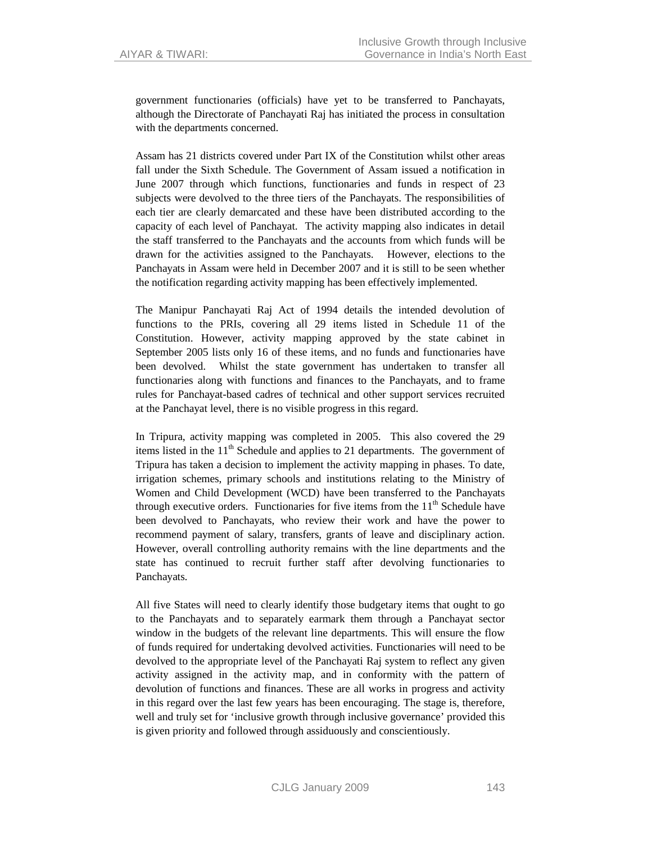government functionaries (officials) have yet to be transferred to Panchayats, although the Directorate of Panchayati Raj has initiated the process in consultation with the departments concerned.

Assam has 21 districts covered under Part IX of the Constitution whilst other areas fall under the Sixth Schedule. The Government of Assam issued a notification in June 2007 through which functions, functionaries and funds in respect of 23 subjects were devolved to the three tiers of the Panchayats. The responsibilities of each tier are clearly demarcated and these have been distributed according to the capacity of each level of Panchayat. The activity mapping also indicates in detail the staff transferred to the Panchayats and the accounts from which funds will be drawn for the activities assigned to the Panchayats. However, elections to the Panchayats in Assam were held in December 2007 and it is still to be seen whether the notification regarding activity mapping has been effectively implemented.

The Manipur Panchayati Raj Act of 1994 details the intended devolution of functions to the PRIs, covering all 29 items listed in Schedule 11 of the Constitution. However, activity mapping approved by the state cabinet in September 2005 lists only 16 of these items, and no funds and functionaries have been devolved. Whilst the state government has undertaken to transfer all functionaries along with functions and finances to the Panchayats, and to frame rules for Panchayat-based cadres of technical and other support services recruited at the Panchayat level, there is no visible progress in this regard.

In Tripura, activity mapping was completed in 2005. This also covered the 29 items listed in the  $11<sup>th</sup>$  Schedule and applies to 21 departments. The government of Tripura has taken a decision to implement the activity mapping in phases. To date, irrigation schemes, primary schools and institutions relating to the Ministry of Women and Child Development (WCD) have been transferred to the Panchayats through executive orders. Functionaries for five items from the  $11<sup>th</sup>$  Schedule have been devolved to Panchayats, who review their work and have the power to recommend payment of salary, transfers, grants of leave and disciplinary action. However, overall controlling authority remains with the line departments and the state has continued to recruit further staff after devolving functionaries to Panchayats.

All five States will need to clearly identify those budgetary items that ought to go to the Panchayats and to separately earmark them through a Panchayat sector window in the budgets of the relevant line departments. This will ensure the flow of funds required for undertaking devolved activities. Functionaries will need to be devolved to the appropriate level of the Panchayati Raj system to reflect any given activity assigned in the activity map, and in conformity with the pattern of devolution of functions and finances. These are all works in progress and activity in this regard over the last few years has been encouraging. The stage is, therefore, well and truly set for 'inclusive growth through inclusive governance' provided this is given priority and followed through assiduously and conscientiously.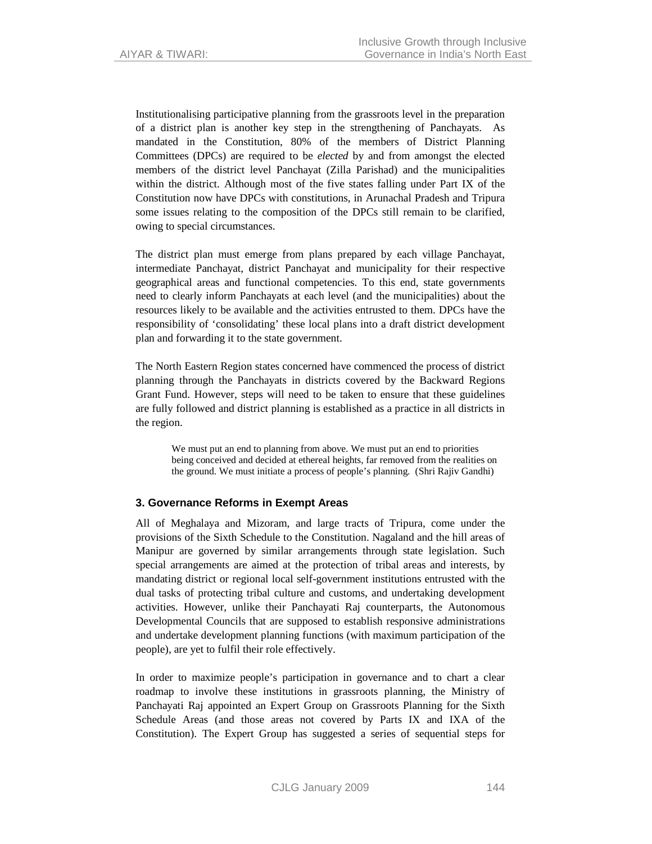Institutionalising participative planning from the grassroots level in the preparation of a district plan is another key step in the strengthening of Panchayats. As mandated in the Constitution, 80% of the members of District Planning Committees (DPCs) are required to be *elected* by and from amongst the elected members of the district level Panchayat (Zilla Parishad) and the municipalities within the district. Although most of the five states falling under Part IX of the Constitution now have DPCs with constitutions, in Arunachal Pradesh and Tripura some issues relating to the composition of the DPCs still remain to be clarified, owing to special circumstances.

The district plan must emerge from plans prepared by each village Panchayat, intermediate Panchayat, district Panchayat and municipality for their respective geographical areas and functional competencies. To this end, state governments need to clearly inform Panchayats at each level (and the municipalities) about the resources likely to be available and the activities entrusted to them. DPCs have the responsibility of 'consolidating' these local plans into a draft district development plan and forwarding it to the state government.

The North Eastern Region states concerned have commenced the process of district planning through the Panchayats in districts covered by the Backward Regions Grant Fund. However, steps will need to be taken to ensure that these guidelines are fully followed and district planning is established as a practice in all districts in the region.

We must put an end to planning from above. We must put an end to priorities being conceived and decided at ethereal heights, far removed from the realities on the ground. We must initiate a process of people's planning. (Shri Rajiv Gandhi)

#### **3. Governance Reforms in Exempt Areas**

All of Meghalaya and Mizoram, and large tracts of Tripura, come under the provisions of the Sixth Schedule to the Constitution. Nagaland and the hill areas of Manipur are governed by similar arrangements through state legislation. Such special arrangements are aimed at the protection of tribal areas and interests, by mandating district or regional local self-government institutions entrusted with the dual tasks of protecting tribal culture and customs, and undertaking development activities. However, unlike their Panchayati Raj counterparts, the Autonomous Developmental Councils that are supposed to establish responsive administrations and undertake development planning functions (with maximum participation of the people), are yet to fulfil their role effectively.

In order to maximize people's participation in governance and to chart a clear roadmap to involve these institutions in grassroots planning, the Ministry of Panchayati Raj appointed an Expert Group on Grassroots Planning for the Sixth Schedule Areas (and those areas not covered by Parts IX and IXA of the Constitution). The Expert Group has suggested a series of sequential steps for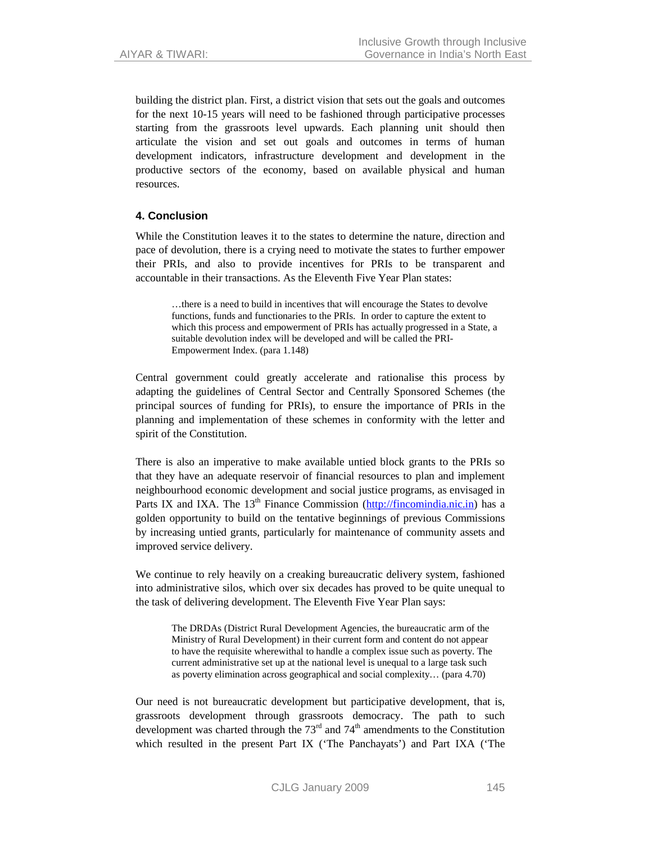building the district plan. First, a district vision that sets out the goals and outcomes for the next 10-15 years will need to be fashioned through participative processes starting from the grassroots level upwards. Each planning unit should then articulate the vision and set out goals and outcomes in terms of human development indicators, infrastructure development and development in the productive sectors of the economy, based on available physical and human resources.

#### **4. Conclusion**

While the Constitution leaves it to the states to determine the nature, direction and pace of devolution, there is a crying need to motivate the states to further empower their PRIs, and also to provide incentives for PRIs to be transparent and accountable in their transactions. As the Eleventh Five Year Plan states:

…there is a need to build in incentives that will encourage the States to devolve functions, funds and functionaries to the PRIs. In order to capture the extent to which this process and empowerment of PRIs has actually progressed in a State, a suitable devolution index will be developed and will be called the PRI-Empowerment Index. (para 1.148)

Central government could greatly accelerate and rationalise this process by adapting the guidelines of Central Sector and Centrally Sponsored Schemes (the principal sources of funding for PRIs), to ensure the importance of PRIs in the planning and implementation of these schemes in conformity with the letter and spirit of the Constitution.

There is also an imperative to make available untied block grants to the PRIs so that they have an adequate reservoir of financial resources to plan and implement neighbourhood economic development and social justice programs, as envisaged in Parts IX and IXA. The 13<sup>th</sup> Finance Commission (http://fincomindia.nic.in) has a golden opportunity to build on the tentative beginnings of previous Commissions by increasing untied grants, particularly for maintenance of community assets and improved service delivery.

We continue to rely heavily on a creaking bureaucratic delivery system, fashioned into administrative silos, which over six decades has proved to be quite unequal to the task of delivering development. The Eleventh Five Year Plan says:

The DRDAs (District Rural Development Agencies, the bureaucratic arm of the Ministry of Rural Development) in their current form and content do not appear to have the requisite wherewithal to handle a complex issue such as poverty. The current administrative set up at the national level is unequal to a large task such as poverty elimination across geographical and social complexity… (para 4.70)

Our need is not bureaucratic development but participative development, that is, grassroots development through grassroots democracy. The path to such development was charted through the  $73<sup>rd</sup>$  and  $74<sup>th</sup>$  amendments to the Constitution which resulted in the present Part IX ('The Panchayats') and Part IXA ('The